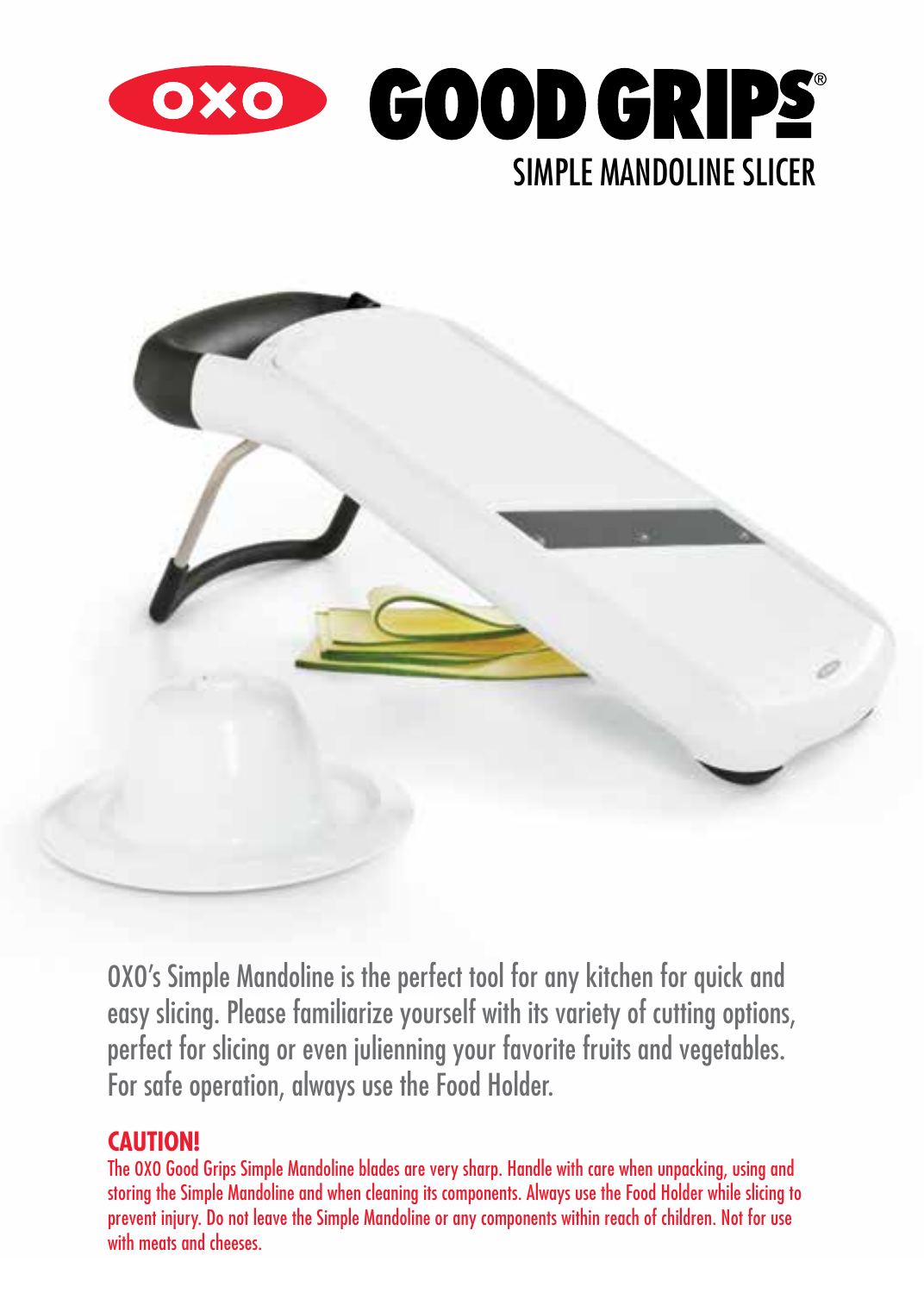



OXO's Simple Mandoline is the perfect tool for any kitchen for quick and easy slicing. Please familiarize yourself with its variety of cutting options, perfect for slicing or even julienning your favorite fruits and vegetables. For safe operation, always use the Food Holder.

## **CAUTION!**

The OXO Good Grips Simple Mandoline blades are very sharp. Handle with care when unpacking, using and storing the Simple Mandoline and when cleaning its components. Always use the Food Holder while slicing to prevent injury. Do not leave the Simple Mandoline or any components within reach of children. Not for use with meats and cheeses.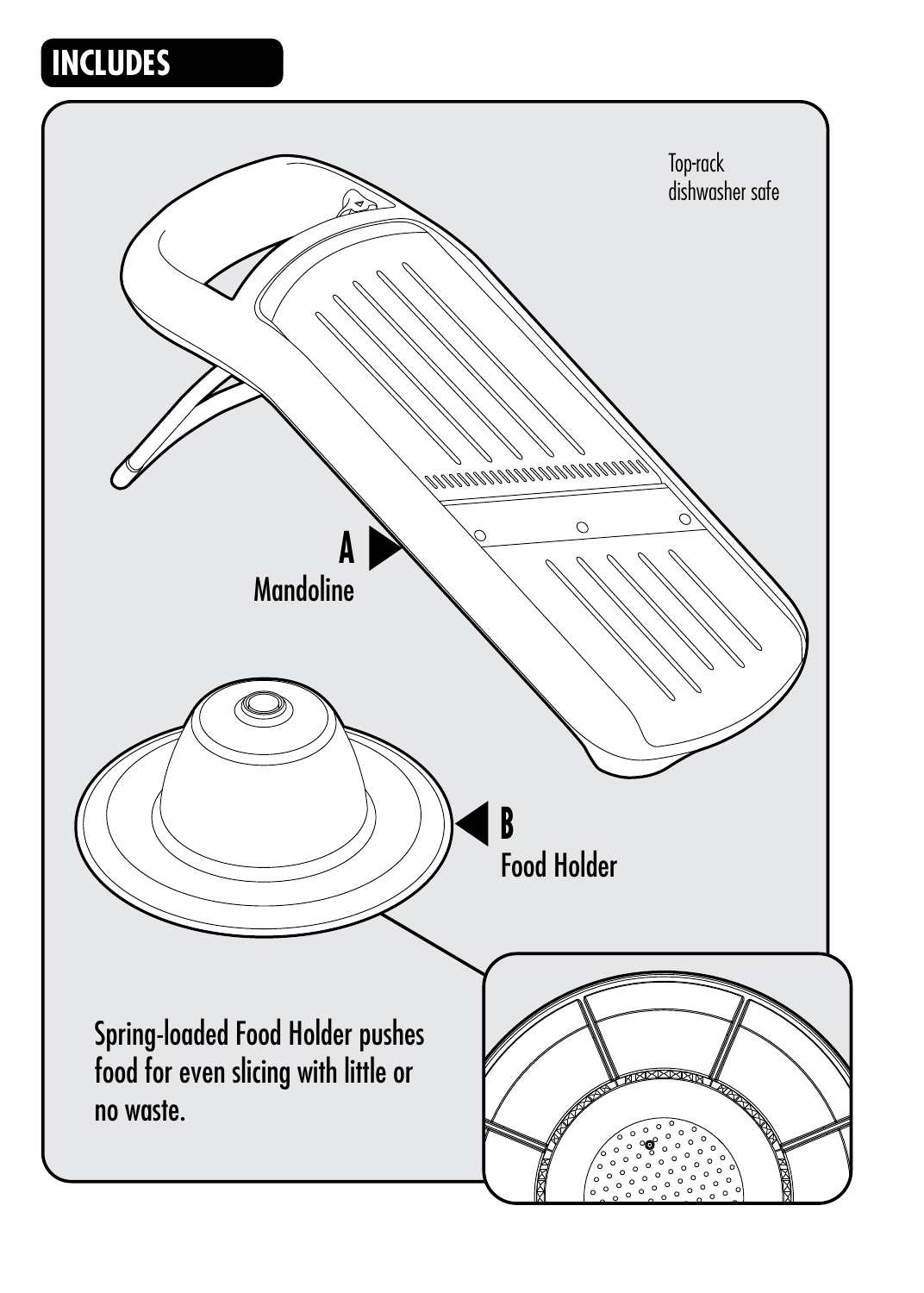## **INCLUDES**